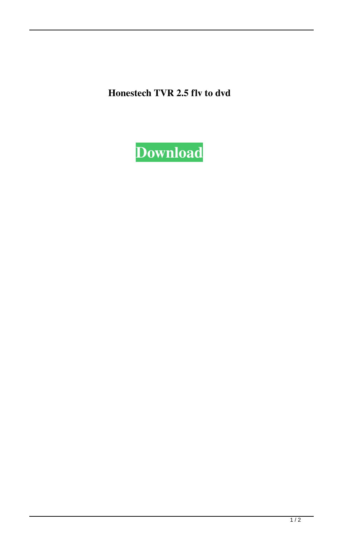**Honestech TVR 2.5 flv to dvd**